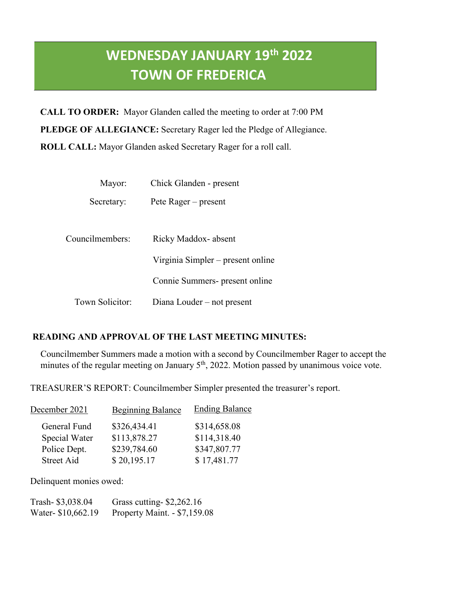# **WEDNESDAY JANUARY 19th 2022 TOWN OF FREDERICA**

**CALL TO ORDER:** Mayor Glanden called the meeting to order at 7:00 PM **PLEDGE OF ALLEGIANCE:** Secretary Rager led the Pledge of Allegiance. **ROLL CALL:** Mayor Glanden asked Secretary Rager for a roll call.

| Mayor:          | Chick Glanden - present           |
|-----------------|-----------------------------------|
| Secretary:      | Pete Rager – present              |
| Councilmembers: | Ricky Maddox-absent               |
|                 | Virginia Simpler – present online |
|                 | Connie Summers- present online    |
| Town Solicitor: | Diana Louder – not present        |

## **READING AND APPROVAL OF THE LAST MEETING MINUTES:**

Councilmember Summers made a motion with a second by Councilmember Rager to accept the minutes of the regular meeting on January  $5<sup>th</sup>$ , 2022. Motion passed by unanimous voice vote.

TREASURER'S REPORT: Councilmember Simpler presented the treasurer's report.

| December 2021 | <b>Beginning Balance</b> | <b>Ending Balance</b> |
|---------------|--------------------------|-----------------------|
| General Fund  | \$326,434.41             | \$314,658.08          |
| Special Water | \$113,878.27             | \$114,318.40          |
| Police Dept.  | \$239,784.60             | \$347,807.77          |
| Street Aid    | \$20,195.17              | \$17,481.77           |

Delinquent monies owed:

| Trash-\$3,038.04   | Grass cutting- $$2,262.16$   |
|--------------------|------------------------------|
| Water- \$10,662.19 | Property Maint. - \$7,159.08 |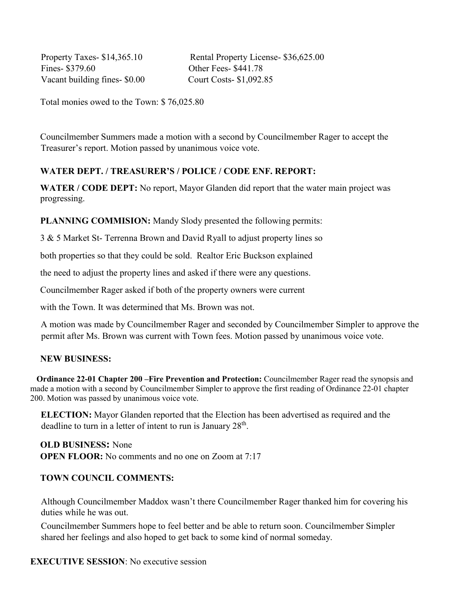Fines- \$379.60 Other Fees- \$441.78 Vacant building fines- \$0.00 Court Costs- \$1,092.85

Property Taxes- \$14,365.10 Rental Property License- \$36,625.00

Total monies owed to the Town: \$ 76,025.80

Councilmember Summers made a motion with a second by Councilmember Rager to accept the Treasurer's report. Motion passed by unanimous voice vote.

### **WATER DEPT. / TREASURER'S / POLICE / CODE ENF. REPORT:**

**WATER / CODE DEPT:** No report, Mayor Glanden did report that the water main project was progressing.

**PLANNING COMMISION:** Mandy Slody presented the following permits:

3 & 5 Market St- Terrenna Brown and David Ryall to adjust property lines so

both properties so that they could be sold. Realtor Eric Buckson explained

the need to adjust the property lines and asked if there were any questions.

Councilmember Rager asked if both of the property owners were current

with the Town. It was determined that Ms. Brown was not.

A motion was made by Councilmember Rager and seconded by Councilmember Simpler to approve the permit after Ms. Brown was current with Town fees. Motion passed by unanimous voice vote.

#### **NEW BUSINESS:**

 **Ordinance 22-01 Chapter 200 –Fire Prevention and Protection:** Councilmember Rager read the synopsis and made a motion with a second by Councilmember Simpler to approve the first reading of Ordinance 22-01 chapter 200. Motion was passed by unanimous voice vote.

**ELECTION:** Mayor Glanden reported that the Election has been advertised as required and the deadline to turn in a letter of intent to run is January 28<sup>th</sup>.

**OLD BUSINESS:** None **OPEN FLOOR:** No comments and no one on Zoom at 7:17

#### **TOWN COUNCIL COMMENTS:**

Although Councilmember Maddox wasn't there Councilmember Rager thanked him for covering his duties while he was out.

Councilmember Summers hope to feel better and be able to return soon. Councilmember Simpler shared her feelings and also hoped to get back to some kind of normal someday.

#### **EXECUTIVE SESSION**: No executive session